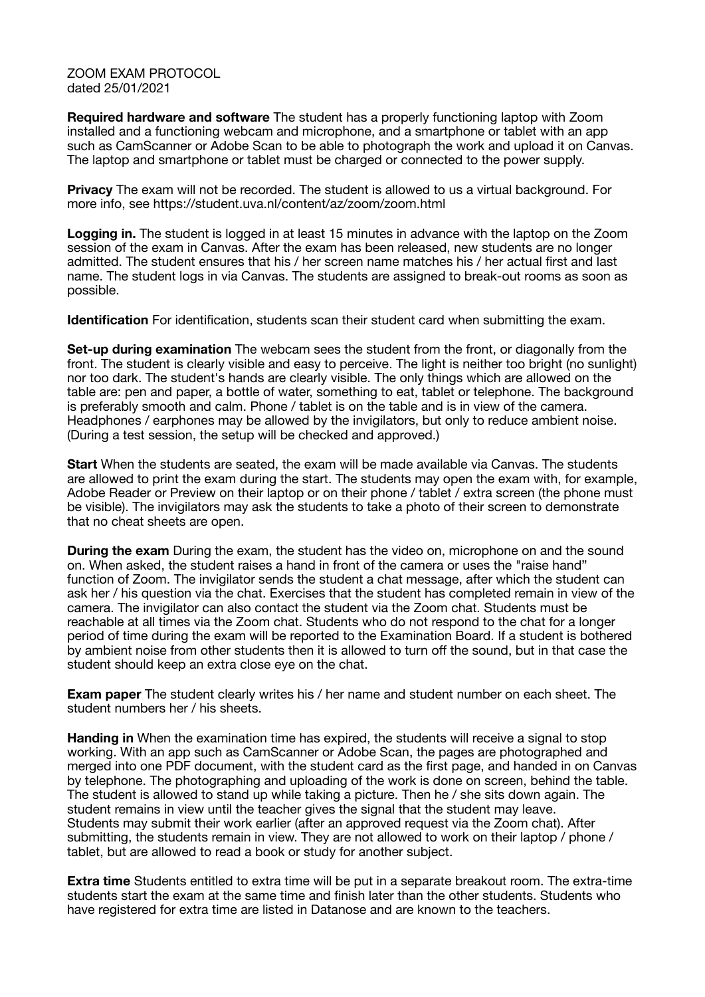ZOOM EXAM PROTOCOL dated 25/01/2021

**Required hardware and software** The student has a properly functioning laptop with Zoom installed and a functioning webcam and microphone, and a smartphone or tablet with an app such as CamScanner or Adobe Scan to be able to photograph the work and upload it on Canvas. The laptop and smartphone or tablet must be charged or connected to the power supply.

**Privacy** The exam will not be recorded. The student is allowed to us a virtual background. For more info, see https://student.uva.nl/content/az/zoom/zoom.html

**Logging in.** The student is logged in at least 15 minutes in advance with the laptop on the Zoom session of the exam in Canvas. After the exam has been released, new students are no longer admitted. The student ensures that his / her screen name matches his / her actual first and last name. The student logs in via Canvas. The students are assigned to break-out rooms as soon as possible.

**Identification** For identification, students scan their student card when submitting the exam.

**Set-up during examination** The webcam sees the student from the front, or diagonally from the front. The student is clearly visible and easy to perceive. The light is neither too bright (no sunlight) nor too dark. The student's hands are clearly visible. The only things which are allowed on the table are: pen and paper, a bottle of water, something to eat, tablet or telephone. The background is preferably smooth and calm. Phone / tablet is on the table and is in view of the camera. Headphones / earphones may be allowed by the invigilators, but only to reduce ambient noise. (During a test session, the setup will be checked and approved.)

**Start** When the students are seated, the exam will be made available via Canvas. The students are allowed to print the exam during the start. The students may open the exam with, for example, Adobe Reader or Preview on their laptop or on their phone / tablet / extra screen (the phone must be visible). The invigilators may ask the students to take a photo of their screen to demonstrate that no cheat sheets are open.

**During the exam** During the exam, the student has the video on, microphone on and the sound on. When asked, the student raises a hand in front of the camera or uses the "raise hand" function of Zoom. The invigilator sends the student a chat message, after which the student can ask her / his question via the chat. Exercises that the student has completed remain in view of the camera. The invigilator can also contact the student via the Zoom chat. Students must be reachable at all times via the Zoom chat. Students who do not respond to the chat for a longer period of time during the exam will be reported to the Examination Board. If a student is bothered by ambient noise from other students then it is allowed to turn off the sound, but in that case the student should keep an extra close eye on the chat.

**Exam paper** The student clearly writes his / her name and student number on each sheet. The student numbers her / his sheets.

Handing in When the examination time has expired, the students will receive a signal to stop working. With an app such as CamScanner or Adobe Scan, the pages are photographed and merged into one PDF document, with the student card as the first page, and handed in on Canvas by telephone. The photographing and uploading of the work is done on screen, behind the table. The student is allowed to stand up while taking a picture. Then he / she sits down again. The student remains in view until the teacher gives the signal that the student may leave. Students may submit their work earlier (after an approved request via the Zoom chat). After submitting, the students remain in view. They are not allowed to work on their laptop / phone / tablet, but are allowed to read a book or study for another subject.

**Extra time** Students entitled to extra time will be put in a separate breakout room. The extra-time students start the exam at the same time and finish later than the other students. Students who have registered for extra time are listed in Datanose and are known to the teachers.